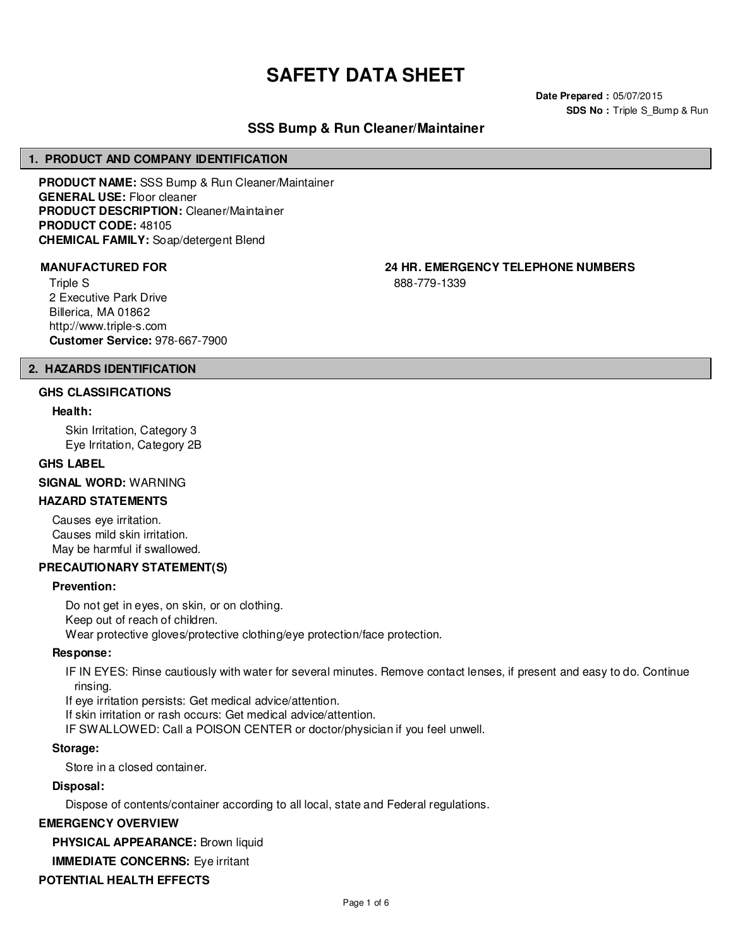# **SAFETY DATA SHEET**

**Date Prepared :** 05/07/2015 **SDS No : Triple S Bump & Run** 

# **SSS Bump & Run Cleaner/Maintainer**

#### **1. PRODUCT AND COMPANY IDENTIFICATION**

**PRODUCT NAME:** SSS Bump & Run Cleaner/Maintainer **GENERAL USE:** Floor cleaner **PRODUCT DESCRIPTION:** Cleaner/Maintainer **PRODUCT CODE:** 48105 **CHEMICAL FAMILY:** Soap/detergent Blend

Triple S 2 Executive Park Drive Billerica, MA 01862 http://www.triple-s.com **Customer Service:** 978-667-7900

**MANUFACTURED FOR 24 HR. EMERGENCY TELEPHONE NUMBERS**

888-779-1339

# **2. HAZARDS IDENTIFICATION**

#### **GHS CLASSIFICATIONS**

#### **Health:**

Skin Irritation, Category 3 Eye Irritation, Category 2B

#### **GHS LABEL**

**SIGNAL WORD:** WARNING

# **HAZARD STATEMENTS**

Causes eye irritation. Causes mild skin irritation. May be harmful if swallowed.

# **PRECAUTIONARY STATEMENT(S)**

#### **Prevention:**

Do not get in eyes, on skin, or on clothing. Keep out of reach of children. Wear protective gloves/protective clothing/eye protection/face protection.

#### **Response:**

IF IN EYES: Rinse cautiously with water for several minutes. Remove contact lenses, if present and easy to do. Continue rinsing.

If eye irritation persists: Get medical advice/attention.

If skin irritation or rash occurs: Get medical advice/attention.

IF SWALLOWED: Call a POISON CENTER or doctor/physician if you feel unwell.

#### **Storage:**

Store in a closed container.

#### **Disposal:**

Dispose of contents/container according to all local, state and Federal regulations.

# **EMERGENCY OVERVIEW**

**PHYSICAL APPEARANCE:** Brown liquid

# **IMMEDIATE CONCERNS:** Eye irritant

# **POTENTIAL HEALTH EFFECTS**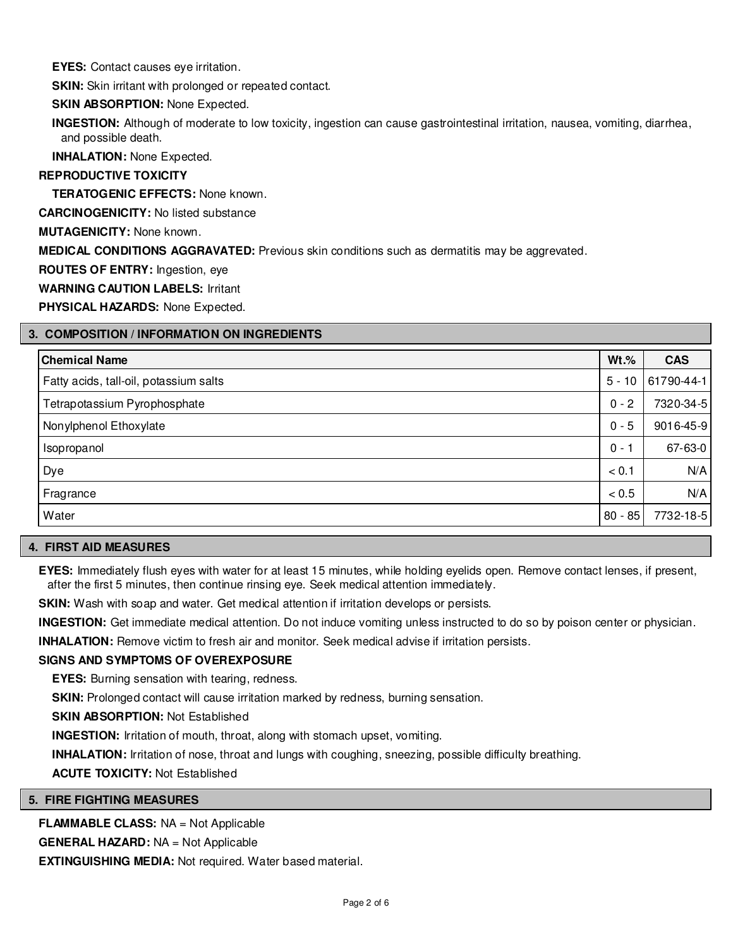**EYES:** Contact causes eye irritation.

**SKIN:** Skin irritant with prolonged or repeated contact.

# **SKIN ABSORPTION:** None Expected.

**INGESTION:** Although of moderate to low toxicity, ingestion can cause gastrointestinal irritation, nausea, vomiting, diarrhea, and possible death.

**INHALATION:** None Expected.

# **REPRODUCTIVE TOXICITY**

**TERATOGENIC EFFECTS:** None known.

**CARCINOGENICITY:** No listed substance

**MUTAGENICITY:** None known.

**MEDICAL CONDITIONS AGGRAVATED:** Previous skin conditions such as dermatitis may be aggrevated.

**ROUTES OF ENTRY:** Ingestion, eye

**WARNING CAUTION LABELS:** Irritant

**PHYSICAL HAZARDS:** None Expected.

# **3. COMPOSITION / INFORMATION ON INGREDIENTS**

| <b>Chemical Name</b>                   | $Wt.$ %   | <b>CAS</b> |
|----------------------------------------|-----------|------------|
| Fatty acids, tall-oil, potassium salts | $5 - 10$  | 61790-44-1 |
| Tetrapotassium Pyrophosphate           | $0 - 2$   | 7320-34-5  |
| Nonylphenol Ethoxylate                 | $0 - 5$   | 9016-45-9  |
| Isopropanol                            | $0 - 1$   | 67-63-0    |
| Dye                                    | < 0.1     | N/A        |
| Fragrance                              | < 0.5     | N/A        |
| Water                                  | $80 - 85$ | 7732-18-5  |

# **4. FIRST AID MEASURES**

**EYES:** Immediately flush eyes with water for at least 15 minutes, while holding eyelids open. Remove contact lenses, if present, after the first 5 minutes, then continue rinsing eye. Seek medical attention immediately.

**SKIN:** Wash with soap and water. Get medical attention if irritation develops or persists.

**INGESTION:** Get immediate medical attention. Do not induce vomiting unless instructed to do so by poison center or physician.

**INHALATION:** Remove victim to fresh air and monitor. Seek medical advise if irritation persists.

# **SIGNS AND SYMPTOMS OF OVEREXPOSURE**

**EYES:** Burning sensation with tearing, redness.

**SKIN:** Prolonged contact will cause irritation marked by redness, burning sensation.

**SKIN ABSORPTION:** Not Established

**INGESTION:** Irritation of mouth, throat, along with stomach upset, vomiting.

**INHALATION:** Irritation of nose, throat and lungs with coughing, sneezing, possible difficulty breathing.

**ACUTE TOXICITY:** Not Established

# **5. FIRE FIGHTING MEASURES**

**FLAMMABLE CLASS:** NA = Not Applicable

**GENERAL HAZARD:** NA = Not Applicable

**EXTINGUISHING MEDIA:** Not required. Water based material.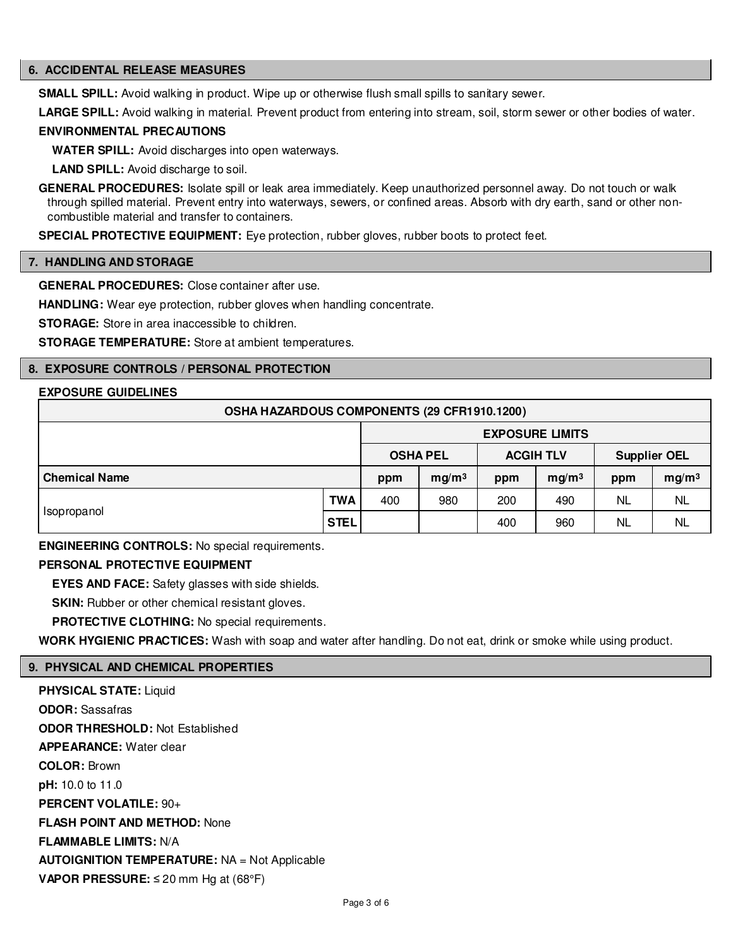# **6. ACCIDENTAL RELEASE MEASURES**

**SMALL SPILL:** Avoid walking in product. Wipe up or otherwise flush small spills to sanitary sewer.

**LARGE SPILL:** Avoid walking in material. Prevent product from entering into stream, soil, storm sewer or other bodies of water.

### **ENVIRONMENTAL PRECAUTIONS**

**WATER SPILL:** Avoid discharges into open waterways.

**LAND SPILL:** Avoid discharge to soil.

**GENERAL PROCEDURES:** Isolate spill or leak area immediately. Keep unauthorized personnel away. Do not touch or walk through spilled material. Prevent entry into waterways, sewers, or confined areas. Absorb with dry earth, sand or other noncombustible material and transfer to containers.

**SPECIAL PROTECTIVE EQUIPMENT:** Eye protection, rubber gloves, rubber boots to protect feet.

#### **7. HANDLING AND STORAGE**

**GENERAL PROCEDURES:** Close container after use.

**HANDLING:** Wear eye protection, rubber gloves when handling concentrate.

**STORAGE:** Store in area inaccessible to children.

**STORAGE TEMPERATURE:** Store at ambient temperatures.

# **8. EXPOSURE CONTROLS / PERSONAL PROTECTION**

# **EXPOSURE GUIDELINES**

| OSHA HAZARDOUS COMPONENTS (29 CFR1910.1200) |             |     |                   |     |                        |           |                     |
|---------------------------------------------|-------------|-----|-------------------|-----|------------------------|-----------|---------------------|
|                                             |             |     |                   |     | <b>EXPOSURE LIMITS</b> |           |                     |
|                                             |             |     | <b>OSHA PEL</b>   |     | <b>ACGIH TLV</b>       |           | <b>Supplier OEL</b> |
| <b>Chemical Name</b>                        |             | ppm | mq/m <sup>3</sup> | ppm | mq/m <sup>3</sup>      | ppm       | mg/m <sup>3</sup>   |
| Isopropanol                                 | <b>TWA</b>  | 400 | 980               | 200 | 490                    | <b>NL</b> | <b>NL</b>           |
|                                             | <b>STEL</b> |     |                   | 400 | 960                    | ΝL        | <b>NL</b>           |

**ENGINEERING CONTROLS:** No special requirements.

# **PERSONAL PROTECTIVE EQUIPMENT**

**EYES AND FACE:** Safety glasses with side shields.

**SKIN:** Rubber or other chemical resistant gloves.

**PROTECTIVE CLOTHING:** No special requirements.

**WORK HYGIENIC PRACTICES:** Wash with soap and water after handling. Do not eat, drink or smoke while using product.

# **9. PHYSICAL AND CHEMICAL PROPERTIES**

**PHYSICAL STATE:** Liquid **ODOR:** Sassafras **ODOR THRESHOLD:** Not Established **APPEARANCE:** Water clear **COLOR:** Brown **pH:** 10.0 to 11.0 **PERCENT VOLATILE:** 90+ **FLASH POINT AND METHOD:** None **FLAMMABLE LIMITS:** N/A **AUTOIGNITION TEMPERATURE:** NA = Not Applicable **VAPOR PRESSURE:** ≤ 20 mm Hg at (68°F)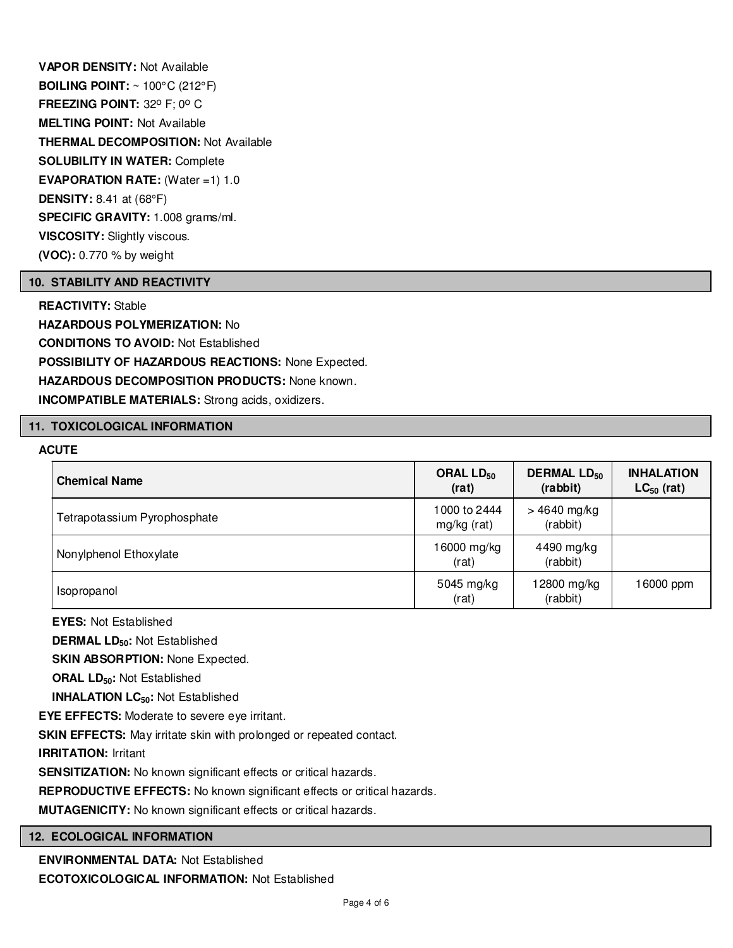**VAPOR DENSITY:** Not Available **BOILING POINT:** ~ 100°C (212°F) **FREEZING POINT: 32° F; 0° C MELTING POINT:** Not Available **THERMAL DECOMPOSITION:** Not Available **SOLUBILITY IN WATER:** Complete **EVAPORATION RATE:** (Water =1) 1.0 **DENSITY:** 8.41 at (68°F) **SPECIFIC GRAVITY:** 1.008 grams/ml. **VISCOSITY:** Slightly viscous. **(VOC):** 0.770 % by weight

# **10. STABILITY AND REACTIVITY**

**REACTIVITY:** Stable **HAZARDOUS POLYMERIZATION:** No **CONDITIONS TO AVOID:** Not Established **POSSIBILITY OF HAZARDOUS REACTIONS:** None Expected. **HAZARDOUS DECOMPOSITION PRODUCTS:** None known. **INCOMPATIBLE MATERIALS:** Strong acids, oxidizers.

#### **11. TOXICOLOGICAL INFORMATION**

# **ACUTE**

| <b>Chemical Name</b>         | ORAL LD <sub>50</sub><br>(rat) | <b>DERMAL LD<sub>50</sub></b><br>(rabbit) | <b>INHALATION</b><br>$LC_{50}$ (rat) |
|------------------------------|--------------------------------|-------------------------------------------|--------------------------------------|
| Tetrapotassium Pyrophosphate | 1000 to 2444<br>mg/kg (rat)    | $>4640$ mg/kg<br>(rabbit)                 |                                      |
| Nonylphenol Ethoxylate       | 16000 mg/kg<br>(rat)           | 4490 mg/kg<br>(rabbit)                    |                                      |
| Isopropanol                  | 5045 mg/kg<br>(rat)            | 12800 mg/kg<br>(rabbit)                   | 16000 ppm                            |

**EYES:** Not Established

**DERMAL LD50:** Not Established

**SKIN ABSORPTION: None Expected.** 

**ORAL LD50:** Not Established

**INHALATION LC50:** Not Established

**EYE EFFECTS:** Moderate to severe eye irritant.

**SKIN EFFECTS:** May irritate skin with prolonged or repeated contact.

**IRRITATION:** Irritant

**SENSITIZATION:** No known significant effects or critical hazards.

**REPRODUCTIVE EFFECTS:** No known significant effects or critical hazards.

**MUTAGENICITY:** No known significant effects or critical hazards.

# **12. ECOLOGICAL INFORMATION**

**ENVIRONMENTAL DATA:** Not Established

**ECOTOXICOLOGICAL INFORMATION:** Not Established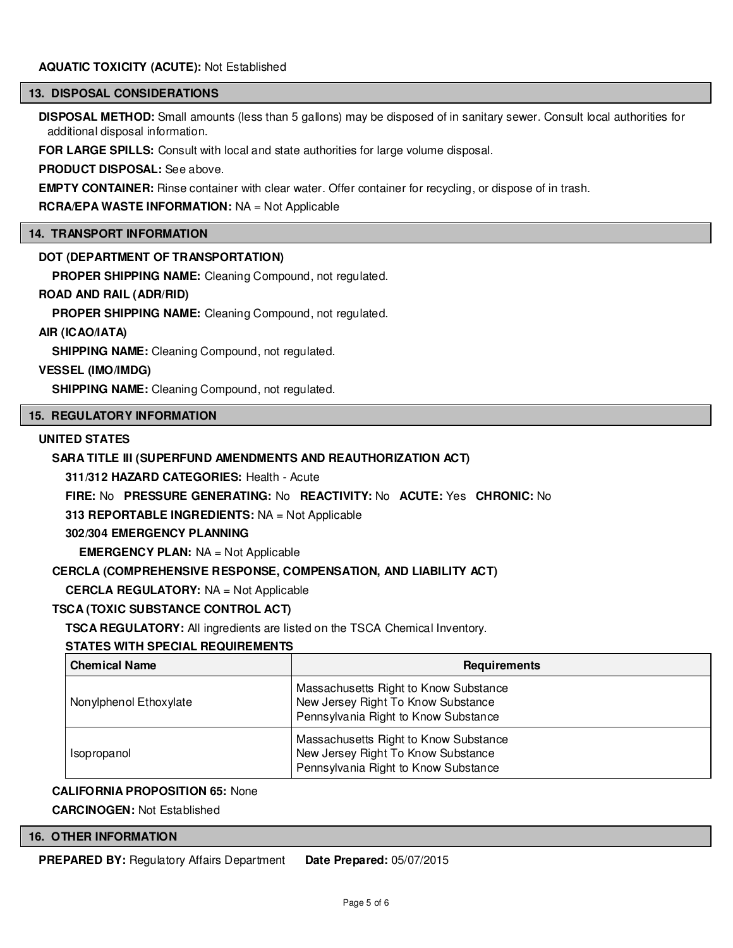# **AQUATIC TOXICITY (ACUTE):** Not Established

### **13. DISPOSAL CONSIDERATIONS**

**DISPOSAL METHOD:** Small amounts (less than 5 gallons) may be disposed of in sanitary sewer. Consult local authorities for additional disposal information.

**FOR LARGE SPILLS:** Consult with local and state authorities for large volume disposal.

**PRODUCT DISPOSAL:** See above.

**EMPTY CONTAINER:** Rinse container with clear water. Offer container for recycling, or dispose of in trash.

**RCRA/EPA WASTE INFORMATION:** NA = Not Applicable

### **14. TRANSPORT INFORMATION**

# **DOT (DEPARTMENT OF TRANSPORTATION)**

**PROPER SHIPPING NAME:** Cleaning Compound, not regulated.

# **ROAD AND RAIL (ADR/RID)**

**PROPER SHIPPING NAME:** Cleaning Compound, not regulated.

# **AIR (ICAO/IATA)**

**SHIPPING NAME:** Cleaning Compound, not regulated.

# **VESSEL (IMO/IMDG)**

**SHIPPING NAME:** Cleaning Compound, not regulated.

#### **15. REGULATORY INFORMATION**

### **UNITED STATES**

# **SARA TITLE III (SUPERFUND AMENDMENTS AND REAUTHORIZATION ACT)**

**311/312 HAZARD CATEGORIES:** Health - Acute

**FIRE:** No **PRESSURE GENERATING:** No **REACTIVITY:** No **ACUTE:** Yes **CHRONIC:** No

**313 REPORTABLE INGREDIENTS:** NA = Not Applicable

**302/304 EMERGENCY PLANNING**

**EMERGENCY PLAN:** NA = Not Applicable

# **CERCLA (COMPREHENSIVE RESPONSE, COMPENSATION, AND LIABILITY ACT)**

**CERCLA REGULATORY:** NA = Not Applicable

# **TSCA (TOXIC SUBSTANCE CONTROL ACT)**

**TSCA REGULATORY:** All ingredients are listed on the TSCA Chemical Inventory.

# **STATES WITH SPECIAL REQUIREMENTS**

| <b>Chemical Name</b>   | <b>Requirements</b>                                                                                                 |
|------------------------|---------------------------------------------------------------------------------------------------------------------|
| Nonylphenol Ethoxylate | Massachusetts Right to Know Substance<br>New Jersey Right To Know Substance<br>Pennsylvania Right to Know Substance |
| Isopropanol            | Massachusetts Right to Know Substance<br>New Jersey Right To Know Substance<br>Pennsylvania Right to Know Substance |

# **CALIFORNIA PROPOSITION 65:** None

**CARCINOGEN:** Not Established

# **16. OTHER INFORMATION**

**PREPARED BY:** Regulatory Affairs Department **Date Prepared:** 05/07/2015